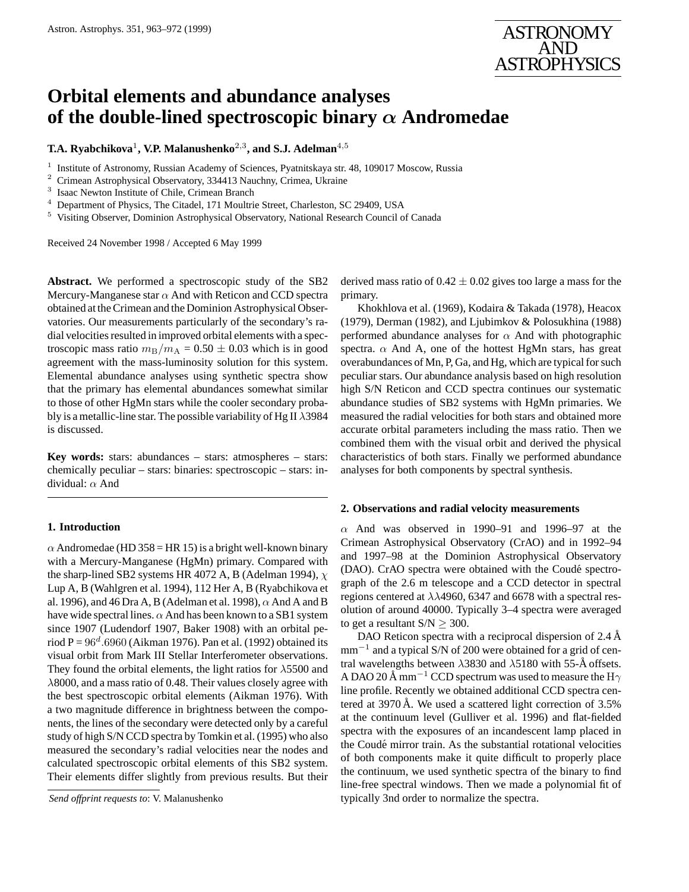

# **Orbital elements and abundance analyses of the double-lined spectroscopic binary** α **Andromedae**

 $\bf{T.A.}$  Ryabchikova<sup>1</sup>, V.P. Malanushenko<sup>2,3</sup>, and S.J. Adelman<sup>4,5</sup>

<sup>1</sup> Institute of Astronomy, Russian Academy of Sciences, Pyatnitskaya str. 48, 109017 Moscow, Russia

<sup>2</sup> Crimean Astrophysical Observatory, 334413 Nauchny, Crimea, Ukraine 3

Isaac Newton Institute of Chile, Crimean Branch

<sup>4</sup> Department of Physics, The Citadel, 171 Moultrie Street, Charleston, SC 29409, USA

<sup>5</sup> Visiting Observer, Dominion Astrophysical Observatory, National Research Council of Canada

Received 24 November 1998 / Accepted 6 May 1999

**Abstract.** We performed a spectroscopic study of the SB2 Mercury-Manganese star  $\alpha$  And with Reticon and CCD spectra obtained at the Crimean and the Dominion Astrophysical Observatories. Our measurements particularly of the secondary's radial velocities resulted in improved orbital elements with a spectroscopic mass ratio  $m_B/m_A = 0.50 \pm 0.03$  which is in good agreement with the mass-luminosity solution for this system. Elemental abundance analyses using synthetic spectra show that the primary has elemental abundances somewhat similar to those of other HgMn stars while the cooler secondary probably is a metallic-line star. The possible variability of Hg II  $\lambda$ 3984 is discussed.

**Key words:** stars: abundances – stars: atmospheres – stars: chemically peculiar – stars: binaries: spectroscopic – stars: individual: α And

## **1. Introduction**

 $\alpha$  Andromedae (HD 358 = HR 15) is a bright well-known binary with a Mercury-Manganese (HgMn) primary. Compared with the sharp-lined SB2 systems HR 4072 A, B (Adelman 1994),  $\chi$ Lup A, B (Wahlgren et al. 1994), 112 Her A, B (Ryabchikova et al. 1996), and 46 Dra A, B (Adelman et al. 1998),  $\alpha$  And A and B have wide spectral lines.  $\alpha$  And has been known to a SB1 system since 1907 (Ludendorf 1907, Baker 1908) with an orbital period  $P = 96^d.6960$  (Aikman 1976). Pan et al. (1992) obtained its visual orbit from Mark III Stellar Interferometer observations. They found the orbital elements, the light ratios for  $\lambda$ 5500 and  $\lambda$ 8000, and a mass ratio of 0.48. Their values closely agree with the best spectroscopic orbital elements (Aikman 1976). With a two magnitude difference in brightness between the components, the lines of the secondary were detected only by a careful study of high S/N CCD spectra by Tomkin et al. (1995) who also measured the secondary's radial velocities near the nodes and calculated spectroscopic orbital elements of this SB2 system. Their elements differ slightly from previous results. But their

derived mass ratio of  $0.42 \pm 0.02$  gives too large a mass for the primary.

Khokhlova et al. (1969), Kodaira & Takada (1978), Heacox (1979), Derman (1982), and Ljubimkov & Polosukhina (1988) performed abundance analyses for  $\alpha$  And with photographic spectra.  $\alpha$  And A, one of the hottest HgMn stars, has great overabundances of Mn, P, Ga, and Hg, which are typical for such peculiar stars. Our abundance analysis based on high resolution high S/N Reticon and CCD spectra continues our systematic abundance studies of SB2 systems with HgMn primaries. We measured the radial velocities for both stars and obtained more accurate orbital parameters including the mass ratio. Then we combined them with the visual orbit and derived the physical characteristics of both stars. Finally we performed abundance analyses for both components by spectral synthesis.

## **2. Observations and radial velocity measurements**

 $\alpha$  And was observed in 1990–91 and 1996–97 at the Crimean Astrophysical Observatory (CrAO) and in 1992–94 and 1997–98 at the Dominion Astrophysical Observatory (DAO). CrAO spectra were obtained with the Coudé spectrograph of the 2.6 m telescope and a CCD detector in spectral regions centered at  $\lambda\lambda$ 4960, 6347 and 6678 with a spectral resolution of around 40000. Typically 3–4 spectra were averaged to get a resultant  $S/N \geq 300$ .

DAO Reticon spectra with a reciprocal dispersion of  $2.4 \text{ Å}$ mm<sup>-1</sup> and a typical S/N of 200 were obtained for a grid of central wavelengths between  $\lambda$ 3830 and  $\lambda$ 5180 with 55-Å offsets. A DAO 20 Å mm<sup>-1</sup> CCD spectrum was used to measure the H $\gamma$ line profile. Recently we obtained additional CCD spectra centered at 3970 Å. We used a scattered light correction of  $3.5\%$ at the continuum level (Gulliver et al. 1996) and flat-fielded spectra with the exposures of an incandescent lamp placed in the Coudé mirror train. As the substantial rotational velocities of both components make it quite difficult to properly place the continuum, we used synthetic spectra of the binary to find line-free spectral windows. Then we made a polynomial fit of typically 3nd order to normalize the spectra.

*Send offprint requests to*: V. Malanushenko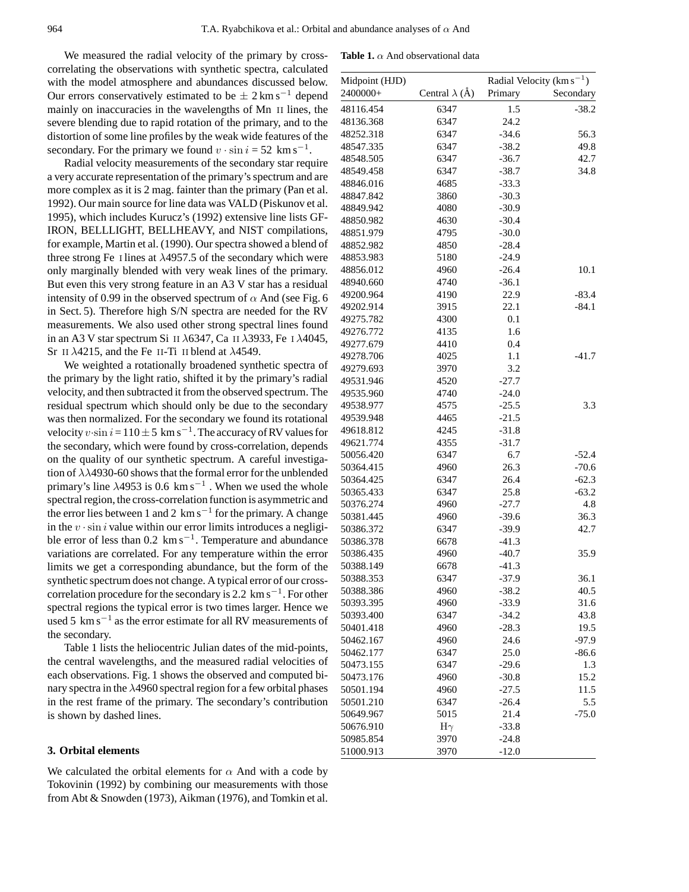**Table 1.**  $\alpha$  And observational data

We measured the radial velocity of the primary by crosscorrelating the observations with synthetic spectra, calculated with the model atmosphere and abundances discussed below. Our errors conservatively estimated to be  $\pm 2 \text{ km s}^{-1}$  depend mainly on inaccuracies in the wavelengths of Mn II lines, the severe blending due to rapid rotation of the primary, and to the distortion of some line profiles by the weak wide features of the secondary. For the primary we found  $v \cdot \sin i = 52$  km s<sup>-1</sup>.

Radial velocity measurements of the secondary star require a very accurate representation of the primary's spectrum and are more complex as it is 2 mag. fainter than the primary (Pan et al. 1992). Our main source for line data was VALD (Piskunov et al. 1995), which includes Kurucz's (1992) extensive line lists GF-IRON, BELLLIGHT, BELLHEAVY, and NIST compilations, for example, Martin et al. (1990). Our spectra showed a blend of three strong Fe I lines at  $\lambda$ 4957.5 of the secondary which were only marginally blended with very weak lines of the primary. But even this very strong feature in an A3 V star has a residual intensity of 0.99 in the observed spectrum of  $\alpha$  And (see Fig. 6) in Sect. 5). Therefore high S/N spectra are needed for the RV measurements. We also used other strong spectral lines found in an A3 V star spectrum Si II  $\lambda$ 6347, Ca II  $\lambda$ 3933, Fe I  $\lambda$ 4045, Sr II  $\lambda$ 4215, and the Fe II-Ti II blend at  $\lambda$ 4549.

We weighted a rotationally broadened synthetic spectra of the primary by the light ratio, shifted it by the primary's radial velocity, and then subtracted it from the observed spectrum. The residual spectrum which should only be due to the secondary was then normalized. For the secondary we found its rotational velocity  $v \cdot \sin i = 110 \pm 5 \text{ km s}^{-1}$ . The accuracy of RV values for the secondary, which were found by cross-correlation, depends on the quality of our synthetic spectrum. A careful investigation of  $\lambda\lambda$ 4930-60 shows that the formal error for the unblended primary's line  $\lambda$ 4953 is 0.6 km s<sup>-1</sup>. When we used the whole spectral region, the cross-correlation function is asymmetric and the error lies between 1 and 2  $\rm km\,s^{-1}$  for the primary. A change in the  $v \cdot \sin i$  value within our error limits introduces a negligible error of less than  $0.2 \text{ km s}^{-1}$ . Temperature and abundance variations are correlated. For any temperature within the error limits we get a corresponding abundance, but the form of the synthetic spectrum does not change. A typical error of our crosscorrelation procedure for the secondary is 2.2 km s<sup>−</sup><sup>1</sup> . For other spectral regions the typical error is two times larger. Hence we used 5  $\rm km\,s^{-1}$  as the error estimate for all RV measurements of the secondary.

Table 1 lists the heliocentric Julian dates of the mid-points, the central wavelengths, and the measured radial velocities of each observations. Fig. 1 shows the observed and computed binary spectra in the  $\lambda$ 4960 spectral region for a few orbital phases in the rest frame of the primary. The secondary's contribution is shown by dashed lines.

## **3. Orbital elements**

We calculated the orbital elements for  $\alpha$  And with a code by Tokovinin (1992) by combining our measurements with those from Abt & Snowden (1973), Aikman (1976), and Tomkin et al.

| Midpoint (HJD) |                       | Radial Velocity ( $\text{km s}^{-1}$ ) |           |  |
|----------------|-----------------------|----------------------------------------|-----------|--|
| 2400000+       | Central $\lambda$ (Å) | Primary                                | Secondary |  |
| 48116.454      | 6347                  | 1.5                                    | $-38.2$   |  |
| 48136.368      | 6347                  | 24.2                                   |           |  |
| 48252.318      | 6347                  | $-34.6$                                | 56.3      |  |
| 48547.335      | 6347                  | $-38.2$                                | 49.8      |  |
| 48548.505      | 6347                  | $-36.7$                                | 42.7      |  |
| 48549.458      | 6347                  | $-38.7$                                | 34.8      |  |
| 48846.016      | 4685                  | $-33.3$                                |           |  |
| 48847.842      | 3860                  | $-30.3$                                |           |  |
| 48849.942      | 4080                  | $-30.9$                                |           |  |
| 48850.982      | 4630                  | $-30.4$                                |           |  |
| 48851.979      | 4795                  | $-30.0$                                |           |  |
| 48852.982      | 4850                  | $-28.4$                                |           |  |
| 48853.983      | 5180                  | $-24.9$                                |           |  |
| 48856.012      | 4960                  | $-26.4$                                | 10.1      |  |
| 48940.660      | 4740                  | $-36.1$                                |           |  |
| 49200.964      | 4190                  | 22.9                                   | $-83.4$   |  |
| 49202.914      | 3915                  | 22.1                                   | $-84.1$   |  |
| 49275.782      | 4300                  | 0.1                                    |           |  |
| 49276.772      | 4135                  | 1.6                                    |           |  |
| 49277.679      | 4410                  | 0.4                                    |           |  |
| 49278.706      | 4025                  | 1.1                                    | $-41.7$   |  |
| 49279.693      | 3970                  | 3.2                                    |           |  |
| 49531.946      | 4520                  | $-27.7$                                |           |  |
| 49535.960      | 4740                  | $-24.0$                                |           |  |
| 49538.977      | 4575                  | $-25.5$                                | 3.3       |  |
| 49539.948      | 4465                  | $-21.5$                                |           |  |
| 49618.812      | 4245                  | $-31.8$                                |           |  |
| 49621.774      | 4355                  | $-31.7$                                |           |  |
| 50056.420      | 6347                  | 6.7                                    | -52.4     |  |
| 50364.415      | 4960                  | 26.3                                   | $-70.6$   |  |
| 50364.425      | 6347                  | 26.4                                   | $-62.3$   |  |
| 50365.433      | 6347                  | 25.8                                   | $-63.2$   |  |
| 50376.274      | 4960                  | $-27.7$                                | 4.8       |  |
| 50381.445      | 4960                  | $-39.6$                                | 36.3      |  |
| 50386.372      | 6347                  | $-39.9$                                | 42.7      |  |
| 50386.378      | 6678                  | $-41.3$                                |           |  |
| 50386.435      | 4960                  | $-40.7$                                | 35.9      |  |
| 50388.149      | 6678                  | $-41.3$                                |           |  |
| 50388.353      | 6347                  | $-37.9$                                | 36.1      |  |
| 50388.386      | 4960                  | $-38.2$                                | 40.5      |  |
| 50393.395      | 4960                  | $-33.9$                                | 31.6      |  |
| 50393.400      | 6347                  | $-34.2$                                | 43.8      |  |
| 50401.418      | 4960                  | $-28.3$                                | 19.5      |  |
| 50462.167      | 4960                  | 24.6                                   | $-97.9$   |  |
| 50462.177      | 6347                  | 25.0                                   | $-86.6$   |  |
| 50473.155      | 6347                  | $-29.6$                                | 1.3       |  |
| 50473.176      | 4960                  | $-30.8$                                | 15.2      |  |
| 50501.194      | 4960                  | $-27.5$                                | 11.5      |  |
| 50501.210      | 6347                  | $-26.4$                                | 5.5       |  |
| 50649.967      | 5015                  | 21.4                                   | $-75.0$   |  |
| 50676.910      | $H\gamma$             | $-33.8$                                |           |  |
| 50985.854      | 3970                  | $-24.8$                                |           |  |
| 51000.913      | 3970                  | $-12.0$                                |           |  |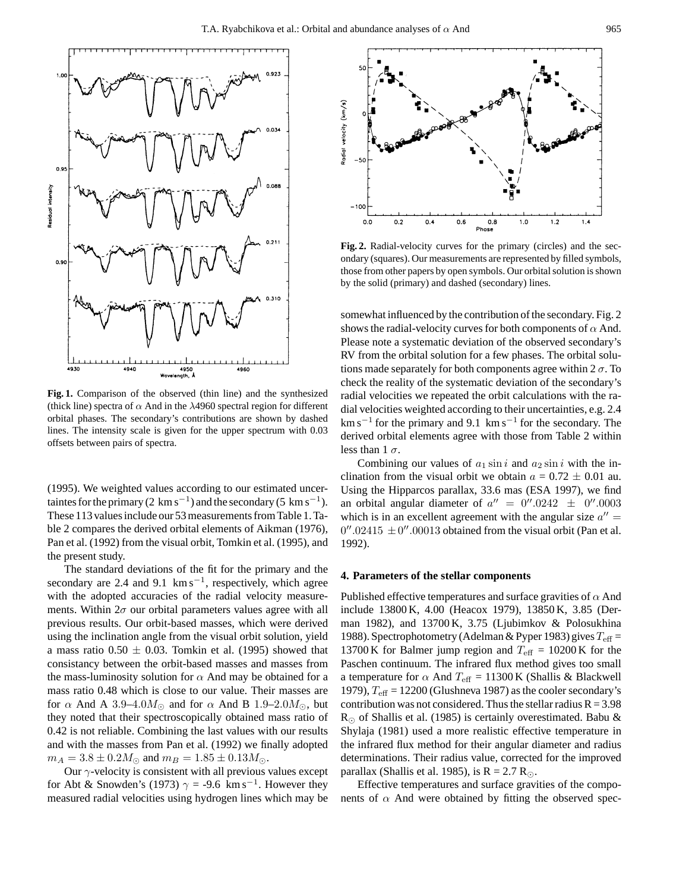

**Fig. 1.** Comparison of the observed (thin line) and the synthesized (thick line) spectra of  $\alpha$  And in the  $\lambda$ 4960 spectral region for different orbital phases. The secondary's contributions are shown by dashed lines. The intensity scale is given for the upper spectrum with 0.03 offsets between pairs of spectra.

(1995). We weighted values according to our estimated uncertaintes for the primary (2 km s<sup>-1</sup>) and the secondary (5 km s<sup>-1</sup>). These 113 values include our 53 measurements from Table 1. Table 2 compares the derived orbital elements of Aikman (1976), Pan et al. (1992) from the visual orbit, Tomkin et al. (1995), and the present study.

The standard deviations of the fit for the primary and the secondary are 2.4 and 9.1  $\mathrm{km\,s}^{-1}$ , respectively, which agree with the adopted accuracies of the radial velocity measurements. Within  $2\sigma$  our orbital parameters values agree with all previous results. Our orbit-based masses, which were derived using the inclination angle from the visual orbit solution, yield a mass ratio  $0.50 \pm 0.03$ . Tomkin et al. (1995) showed that consistancy between the orbit-based masses and masses from the mass-luminosity solution for  $\alpha$  And may be obtained for a mass ratio 0.48 which is close to our value. Their masses are for  $\alpha$  And A 3.9–4.0 $M_{\odot}$  and for  $\alpha$  And B 1.9–2.0 $M_{\odot}$ , but they noted that their spectroscopically obtained mass ratio of 0.42 is not reliable. Combining the last values with our results and with the masses from Pan et al. (1992) we finally adopted  $m_A = 3.8 \pm 0.2 M_{\odot}$  and  $m_B = 1.85 \pm 0.13 M_{\odot}$ .

Our  $\gamma$ -velocity is consistent with all previous values except for Abt & Snowden's (1973)  $\gamma = -9.6$  km s<sup>-1</sup>. However they measured radial velocities using hydrogen lines which may be



**Fig. 2.** Radial-velocity curves for the primary (circles) and the secondary (squares). Our measurements are represented by filled symbols, those from other papers by open symbols. Our orbital solution is shown by the solid (primary) and dashed (secondary) lines.

somewhat influenced by the contribution of the secondary. Fig. 2 shows the radial-velocity curves for both components of  $\alpha$  And. Please note a systematic deviation of the observed secondary's RV from the orbital solution for a few phases. The orbital solutions made separately for both components agree within  $2 \sigma$ . To check the reality of the systematic deviation of the secondary's radial velocities we repeated the orbit calculations with the radial velocities weighted according to their uncertainties, e.g. 2.4  $km s^{-1}$  for the primary and 9.1 km s<sup>-1</sup> for the secondary. The derived orbital elements agree with those from Table 2 within less than  $1 \sigma$ .

Combining our values of  $a_1 \sin i$  and  $a_2 \sin i$  with the inclination from the visual orbit we obtain  $a = 0.72 \pm 0.01$  au. Using the Hipparcos parallax, 33.6 mas (ESA 1997), we find an orbital angular diameter of  $a'' = 0''.0242 \pm 0''.0003$ which is in an excellent agreement with the angular size  $a'' =$  $0''.02415 \pm 0''.00013$  obtained from the visual orbit (Pan et al. 1992).

#### **4. Parameters of the stellar components**

Published effective temperatures and surface gravities of  $\alpha$  And include 13800 K, 4.00 (Heacox 1979), 13850 K, 3.85 (Derman 1982), and 13700 K, 3.75 (Ljubimkov & Polosukhina 1988). Spectrophotometry (Adelman & Pyper 1983) gives  $T_{\text{eff}} =$ 13700 K for Balmer jump region and  $T_{\text{eff}} = 10200 \text{ K}$  for the Paschen continuum. The infrared flux method gives too small a temperature for  $\alpha$  And  $T_{\text{eff}} = 11300 \text{ K}$  (Shallis & Blackwell 1979),  $T_{\text{eff}}$  = 12200 (Glushneva 1987) as the cooler secondary's contribution was not considered. Thus the stellar radius  $R = 3.98$  $R_{\odot}$  of Shallis et al. (1985) is certainly overestimated. Babu & Shylaja (1981) used a more realistic effective temperature in the infrared flux method for their angular diameter and radius determinations. Their radius value, corrected for the improved parallax (Shallis et al. 1985), is  $R = 2.7 R_{\odot}$ .

Effective temperatures and surface gravities of the components of  $\alpha$  And were obtained by fitting the observed spec-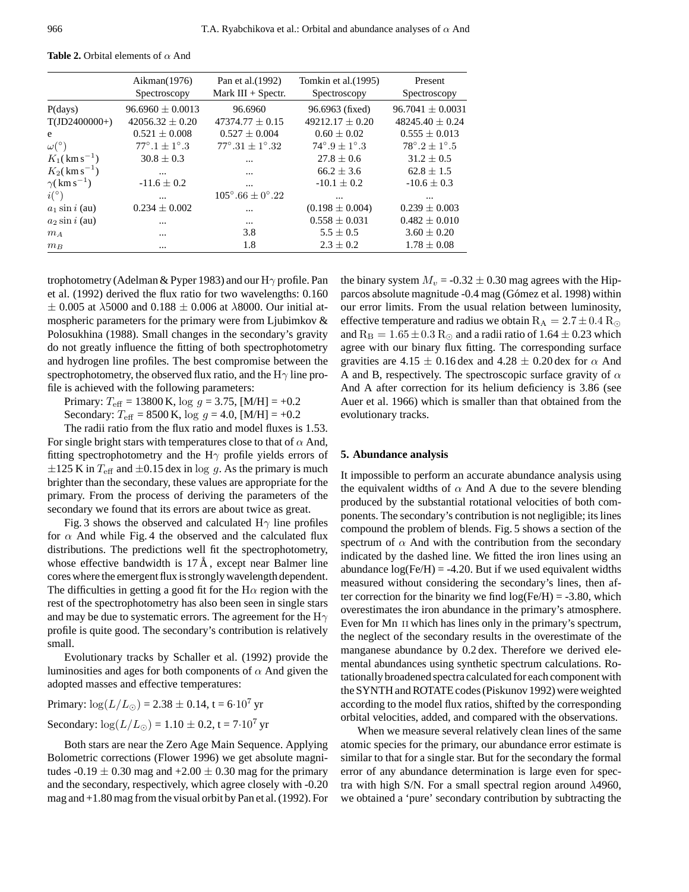|                                | Aikman $(1976)$<br>Spectroscopy | Pan et al. (1992)<br>Mark $III + Spectr$ . | Tomkin et al. (1995)<br>Spectroscopy | Present<br>Spectroscopy        |
|--------------------------------|---------------------------------|--------------------------------------------|--------------------------------------|--------------------------------|
| P(days)                        | $96.6960 \pm 0.0013$            | 96.6960                                    | 96.6963 (fixed)                      | $96.7041 \pm 0.0031$           |
| $T(JD2400000+)$                | $42056.32 + 0.20$               | $47374.77 \pm 0.15$                        | $49212.17 + 0.20$                    | $48245.40 + 0.24$              |
| e                              | $0.521 \pm 0.008$               | $0.527 \pm 0.004$                          | $0.60 \pm 0.02$                      | $0.555 \pm 0.013$              |
| $\omega (^\circ)$              | $77^{\circ}.1 \pm 1^{\circ}.3$  | $77^{\circ}.31 \pm 1^{\circ}.32$           | $74^{\circ}.9 + 1^{\circ}.3$         | $78^{\circ}.2 \pm 1^{\circ}.5$ |
| $K_1({\rm km\,s}^{-1})$        | $30.8 \pm 0.3$                  | $\cdots$                                   | $27.8 \pm 0.6$                       | $31.2 \pm 0.5$                 |
| $K_2({\rm km\,s^{-1}})$        | $\ddotsc$                       | $\cdots$                                   | $66.2 \pm 3.6$                       | $62.8 \pm 1.5$                 |
| $\gamma$ (km s <sup>-1</sup> ) | $-11.6 \pm 0.2$                 | $\cdots$                                   | $-10.1 \pm 0.2$                      | $-10.6 \pm 0.3$                |
| $i^{\circ}$                    | $\cdots$                        | $105^{\circ}$ .66 + $0^{\circ}$ .22        | $\cdots$                             | $\cdots$                       |
| $a_1$ sin i (au)               | $0.234 \pm 0.002$               | $\cdots$                                   | $(0.198 \pm 0.004)$                  | $0.239 \pm 0.003$              |
| $a_2$ sin i (au)               | $\ddotsc$                       | $\cdots$                                   | $0.558 \pm 0.031$                    | $0.482 \pm 0.010$              |
| $m_A$                          | $\ddotsc$                       | 3.8                                        | $5.5 \pm 0.5$                        | $3.60 \pm 0.20$                |
| $m_B$                          | $\cdots$                        | 1.8                                        | $2.3 \pm 0.2$                        | $1.78 \pm 0.08$                |

**Table 2.** Orbital elements of  $\alpha$  And

trophotometry (Adelman & Pyper 1983) and our  $H\gamma$  profile. Pan et al. (1992) derived the flux ratio for two wavelengths: 0.160  $\pm$  0.005 at  $\lambda$ 5000 and 0.188  $\pm$  0.006 at  $\lambda$ 8000. Our initial atmospheric parameters for the primary were from Ljubimkov & Polosukhina (1988). Small changes in the secondary's gravity do not greatly influence the fitting of both spectrophotometry and hydrogen line profiles. The best compromise between the spectrophotometry, the observed flux ratio, and the  $H\gamma$  line profile is achieved with the following parameters:

Primary:  $T_{\text{eff}} = 13800 \text{ K}$ , log  $g = 3.75$ , [M/H] = +0.2

Secondary:  $T_{\text{eff}} = 8500 \text{ K}$ ,  $\log g = 4.0$ , [M/H] = +0.2

The radii ratio from the flux ratio and model fluxes is 1.53. For single bright stars with temperatures close to that of  $\alpha$  And, fitting spectrophotometry and the H $\gamma$  profile yields errors of  $\pm 125$  K in  $T_{\text{eff}}$  and  $\pm 0.15$  dex in log g. As the primary is much brighter than the secondary, these values are appropriate for the primary. From the process of deriving the parameters of the secondary we found that its errors are about twice as great.

Fig. 3 shows the observed and calculated  $H\gamma$  line profiles for  $\alpha$  And while Fig. 4 the observed and the calculated flux distributions. The predictions well fit the spectrophotometry, whose effective bandwidth is  $17 \text{ Å}$ , except near Balmer line cores where the emergent flux is strongly wavelength dependent. The difficulties in getting a good fit for the  $H\alpha$  region with the rest of the spectrophotometry has also been seen in single stars and may be due to systematic errors. The agreement for the  $H\gamma$ profile is quite good. The secondary's contribution is relatively small.

Evolutionary tracks by Schaller et al. (1992) provide the luminosities and ages for both components of  $\alpha$  And given the adopted masses and effective temperatures:

Primary:  $\log(L/L_{\odot}) = 2.38 \pm 0.14$ , t = 6.10<sup>7</sup> yr Secondary:  $\log(L/L_{\odot}) = 1.10 \pm 0.2$ , t = 7.10<sup>7</sup> yr

Both stars are near the Zero Age Main Sequence. Applying Bolometric corrections (Flower 1996) we get absolute magnitudes  $-0.19 \pm 0.30$  mag and  $+2.00 \pm 0.30$  mag for the primary and the secondary, respectively, which agree closely with -0.20 mag and +1.80 mag from the visual orbit by Pan et al. (1992). For the binary system  $M_v = -0.32 \pm 0.30$  mag agrees with the Hipparcos absolute magnitude -0.4 mag (Gómez et al. 1998) within our error limits. From the usual relation between luminosity, effective temperature and radius we obtain  $R_A = 2.7 \pm 0.4$   $R_{\odot}$ and  $R_B = 1.65 \pm 0.3 R_{\odot}$  and a radii ratio of 1.64  $\pm$  0.23 which agree with our binary flux fitting. The corresponding surface gravities are 4.15  $\pm$  0.16 dex and 4.28  $\pm$  0.20 dex for  $\alpha$  And A and B, respectively. The spectroscopic surface gravity of  $\alpha$ And A after correction for its helium deficiency is 3.86 (see Auer et al. 1966) which is smaller than that obtained from the evolutionary tracks.

### **5. Abundance analysis**

It impossible to perform an accurate abundance analysis using the equivalent widths of  $\alpha$  And A due to the severe blending produced by the substantial rotational velocities of both components. The secondary's contribution is not negligible; its lines compound the problem of blends. Fig. 5 shows a section of the spectrum of  $\alpha$  And with the contribution from the secondary indicated by the dashed line. We fitted the iron lines using an abundance  $log(Fe/H) = -4.20$ . But if we used equivalent widths measured without considering the secondary's lines, then after correction for the binarity we find  $log(Fe/H) = -3.80$ , which overestimates the iron abundance in the primary's atmosphere. Even for Mn ii which has lines only in the primary's spectrum, the neglect of the secondary results in the overestimate of the manganese abundance by 0.2 dex. Therefore we derived elemental abundances using synthetic spectrum calculations. Rotationally broadened spectra calculated for each component with the SYNTH and ROTATE codes (Piskunov 1992) were weighted according to the model flux ratios, shifted by the corresponding orbital velocities, added, and compared with the observations.

When we measure several relatively clean lines of the same atomic species for the primary, our abundance error estimate is similar to that for a single star. But for the secondary the formal error of any abundance determination is large even for spectra with high S/N. For a small spectral region around  $\lambda$ 4960, we obtained a 'pure' secondary contribution by subtracting the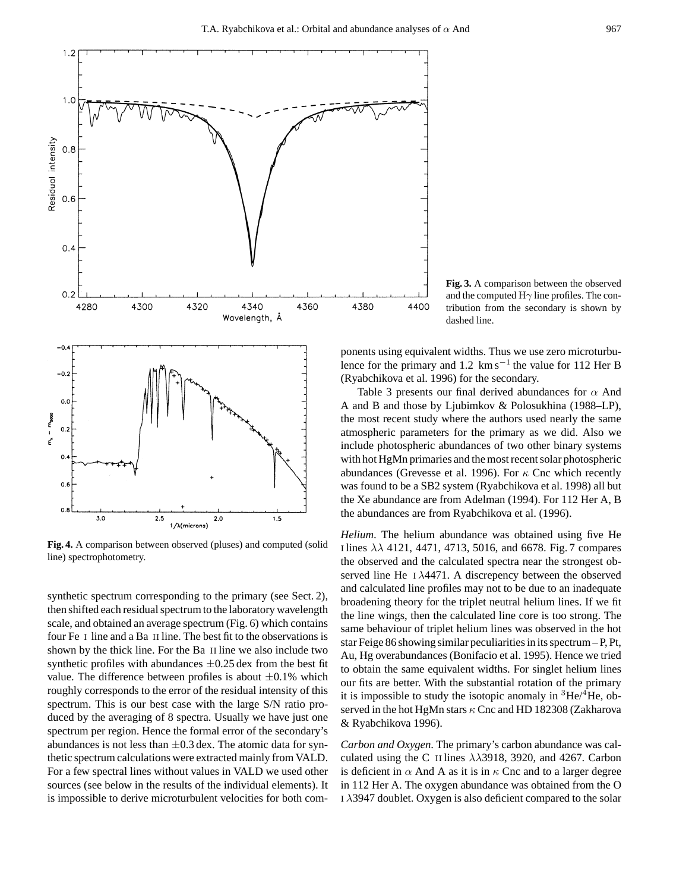

**Fig. 4.** A comparison between observed (pluses) and computed (solid line) spectrophotometry.

synthetic spectrum corresponding to the primary (see Sect. 2), then shifted each residual spectrum to the laboratory wavelength scale, and obtained an average spectrum (Fig. 6) which contains four Fe i line and a Ba ii line. The best fit to the observations is shown by the thick line. For the Ba II line we also include two synthetic profiles with abundances  $\pm 0.25$  dex from the best fit value. The difference between profiles is about  $\pm 0.1\%$  which roughly corresponds to the error of the residual intensity of this spectrum. This is our best case with the large S/N ratio produced by the averaging of 8 spectra. Usually we have just one spectrum per region. Hence the formal error of the secondary's abundances is not less than  $\pm 0.3$  dex. The atomic data for synthetic spectrum calculations were extracted mainly from VALD. For a few spectral lines without values in VALD we used other sources (see below in the results of the individual elements). It is impossible to derive microturbulent velocities for both com-

**Fig. 3.** A comparison between the observed and the computed  $H\gamma$  line profiles. The contribution from the secondary is shown by dashed line.

ponents using equivalent widths. Thus we use zero microturbulence for the primary and 1.2  $\text{km s}^{-1}$  the value for 112 Her B (Ryabchikova et al. 1996) for the secondary.

4400

Table 3 presents our final derived abundances for  $\alpha$  And A and B and those by Ljubimkov & Polosukhina (1988–LP), the most recent study where the authors used nearly the same atmospheric parameters for the primary as we did. Also we include photospheric abundances of two other binary systems with hot HgMn primaries and the most recent solar photospheric abundances (Grevesse et al. 1996). For  $\kappa$  Cnc which recently was found to be a SB2 system (Ryabchikova et al. 1998) all but the Xe abundance are from Adelman (1994). For 112 Her A, B the abundances are from Ryabchikova et al. (1996).

*Helium*. The helium abundance was obtained using five He i lines λλ 4121, 4471, 4713, 5016, and 6678. Fig. 7 compares the observed and the calculated spectra near the strongest observed line He i λ4471. A discrepency between the observed and calculated line profiles may not to be due to an inadequate broadening theory for the triplet neutral helium lines. If we fit the line wings, then the calculated line core is too strong. The same behaviour of triplet helium lines was observed in the hot star Feige 86 showing similar peculiarities in its spectrum – P, Pt, Au, Hg overabundances (Bonifacio et al. 1995). Hence we tried to obtain the same equivalent widths. For singlet helium lines our fits are better. With the substantial rotation of the primary it is impossible to study the isotopic anomaly in  ${}^{3}$ He/ ${}^{4}$ He, observed in the hot HgMn stars  $\kappa$  Cnc and HD 182308 (Zakharova & Ryabchikova 1996).

*Carbon and Oxygen*. The primary's carbon abundance was calculated using the C II lines  $\lambda \lambda$ 3918, 3920, and 4267. Carbon is deficient in  $\alpha$  And A as it is in  $\kappa$  Cnc and to a larger degree in 112 Her A. The oxygen abundance was obtained from the O i λ3947 doublet. Oxygen is also deficient compared to the solar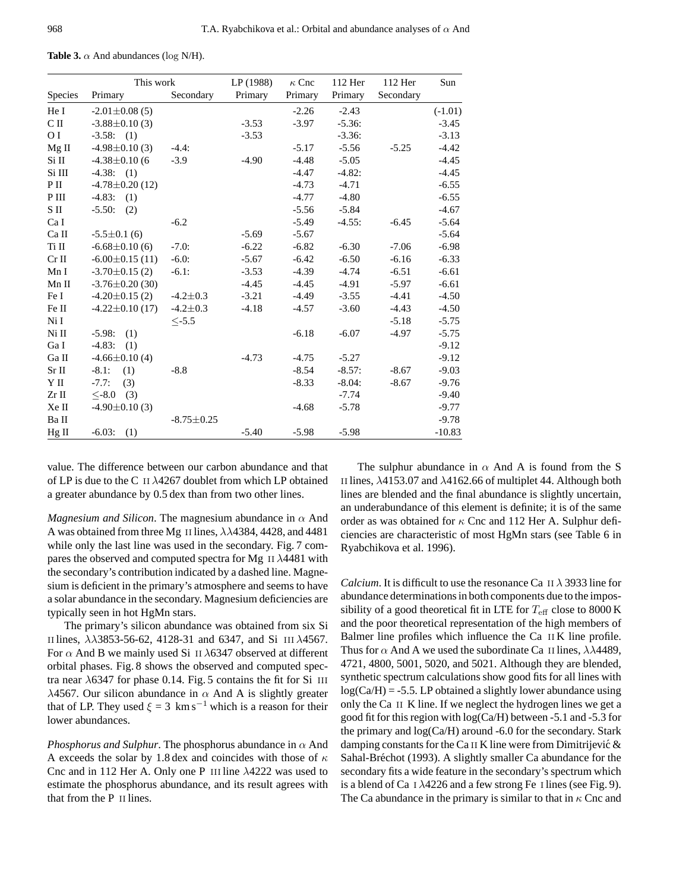|  |  |  | <b>Table 3.</b> $\alpha$ And abundances (log N/H). |  |  |
|--|--|--|----------------------------------------------------|--|--|
|--|--|--|----------------------------------------------------|--|--|

|                | This work             |                  | LP (1988) | $\kappa$ Cnc | 112 Her  | 112 Her   | Sun       |
|----------------|-----------------------|------------------|-----------|--------------|----------|-----------|-----------|
| Species        | Primary               | Secondary        | Primary   | Primary      | Primary  | Secondary |           |
| He I           | $-2.01 \pm 0.08$ (5)  |                  |           | $-2.26$      | $-2.43$  |           | $(-1.01)$ |
| C II           | $-3.88 \pm 0.10(3)$   |                  | $-3.53$   | $-3.97$      | $-5.36:$ |           | $-3.45$   |
| O <sub>I</sub> | $-3.58$ : (1)         |                  | $-3.53$   |              | $-3.36:$ |           | $-3.13$   |
| $Mg$ II        | $-4.98 \pm 0.10(3)$   | $-4.4:$          |           | $-5.17$      | $-5.56$  | $-5.25$   | $-4.42$   |
| Si II          | $-4.38 \pm 0.10$ (6   | $-3.9$           | $-4.90$   | $-4.48$      | $-5.05$  |           | $-4.45$   |
| Si III         | $-4.38$ : (1)         |                  |           | $-4.47$      | $-4.82:$ |           | $-4.45$   |
| P II           | $-4.78 \pm 0.20$ (12) |                  |           | $-4.73$      | $-4.71$  |           | $-6.55$   |
| P III          | $-4.83:$<br>(1)       |                  |           | $-4.77$      | $-4.80$  |           | $-6.55$   |
| S II           | $-5.50:$<br>(2)       |                  |           | $-5.56$      | $-5.84$  |           | $-4.67$   |
| Ca I           |                       | $-6.2$           |           | $-5.49$      | $-4.55:$ | $-6.45$   | $-5.64$   |
| Ca II          | $-5.5 \pm 0.1$ (6)    |                  | $-5.69$   | $-5.67$      |          |           | $-5.64$   |
| Ti II          | $-6.68 \pm 0.10(6)$   | $-7.0:$          | $-6.22$   | $-6.82$      | $-6.30$  | $-7.06$   | $-6.98$   |
| $Cr$ II        | $-6.00 \pm 0.15$ (11) | $-6.0$ :         | $-5.67$   | $-6.42$      | $-6.50$  | $-6.16$   | $-6.33$   |
| Mn I           | $-3.70 \pm 0.15$ (2)  | $-6.1$ :         | $-3.53$   | $-4.39$      | $-4.74$  | $-6.51$   | $-6.61$   |
| Mn II          | $-3.76 \pm 0.20$ (30) |                  | $-4.45$   | $-4.45$      | $-4.91$  | $-5.97$   | $-6.61$   |
| Fe I           | $-4.20 \pm 0.15$ (2)  | $-4.2 \pm 0.3$   | $-3.21$   | $-4.49$      | $-3.55$  | $-4.41$   | $-4.50$   |
| Fe II          | $-4.22 \pm 0.10(17)$  | $-4.2 \pm 0.3$   | $-4.18$   | $-4.57$      | $-3.60$  | $-4.43$   | $-4.50$   |
| Ni I           |                       | $< -5.5$         |           |              |          | $-5.18$   | $-5.75$   |
| Ni II          | $-5.98:$<br>(1)       |                  |           | $-6.18$      | $-6.07$  | $-4.97$   | $-5.75$   |
| Ga I           | $-4.83:$<br>(1)       |                  |           |              |          |           | $-9.12$   |
| Ga II          | $-4.66\pm0.10(4)$     |                  | $-4.73$   | $-4.75$      | $-5.27$  |           | $-9.12$   |
| Sr II          | $-8.1:$<br>(1)        | $-8.8$           |           | $-8.54$      | $-8.57:$ | $-8.67$   | $-9.03$   |
| Y II           | $-7.7:$<br>(3)        |                  |           | $-8.33$      | $-8.04:$ | $-8.67$   | $-9.76$   |
| $Zr$ II        | $< -8.0$<br>(3)       |                  |           |              | $-7.74$  |           | $-9.40$   |
| Xe II          | $-4.90\pm0.10(3)$     |                  |           | $-4.68$      | $-5.78$  |           | $-9.77$   |
| Ba II          |                       | $-8.75 \pm 0.25$ |           |              |          |           | $-9.78$   |
| $Hg$ II        | $-6.03:$<br>(1)       |                  | $-5.40$   | $-5.98$      | $-5.98$  |           | $-10.83$  |

value. The difference between our carbon abundance and that of LP is due to the C II  $\lambda$ 4267 doublet from which LP obtained a greater abundance by 0.5 dex than from two other lines.

*Magnesium and Silicon*. The magnesium abundance in  $\alpha$  And A was obtained from three Mg II lines,  $\lambda \lambda$ 4384, 4428, and 4481 while only the last line was used in the secondary. Fig. 7 compares the observed and computed spectra for Mg II  $\lambda$ 4481 with the secondary's contribution indicated by a dashed line. Magnesium is deficient in the primary's atmosphere and seems to have a solar abundance in the secondary. Magnesium deficiencies are typically seen in hot HgMn stars.

The primary's silicon abundance was obtained from six Si II lines,  $\lambda$  $\lambda$ 3853-56-62, 4128-31 and 6347, and Si III  $\lambda$ 4567. For  $\alpha$  And B we mainly used Si II  $\lambda$ 6347 observed at different orbital phases. Fig. 8 shows the observed and computed spectra near  $\lambda$ 6347 for phase 0.14. Fig. 5 contains the fit for Si III  $\lambda$ 4567. Our silicon abundance in  $\alpha$  And A is slightly greater that of LP. They used  $\xi = 3$  km s<sup>-1</sup> which is a reason for their lower abundances.

*Phosphorus and Sulphur.* The phosphorus abundance in  $\alpha$  And A exceeds the solar by 1.8 dex and coincides with those of  $\kappa$ Cnc and in 112 Her A. Only one P iii line λ4222 was used to estimate the phosphorus abundance, and its result agrees with that from the P II lines.

The sulphur abundance in  $\alpha$  And A is found from the S II lines,  $\lambda$ 4153.07 and  $\lambda$ 4162.66 of multiplet 44. Although both lines are blended and the final abundance is slightly uncertain, an underabundance of this element is definite; it is of the same order as was obtained for  $\kappa$  Cnc and 112 Her A. Sulphur deficiencies are characteristic of most HgMn stars (see Table 6 in Ryabchikova et al. 1996).

*Calcium*. It is difficult to use the resonance Ca  $II \lambda$  3933 line for abundance determinations in both components due to the impossibility of a good theoretical fit in LTE for  $T_{\text{eff}}$  close to 8000 K and the poor theoretical representation of the high members of Balmer line profiles which influence the Ca ii K line profile. Thus for  $\alpha$  And A we used the subordinate Ca II lines,  $\lambda\lambda$ 4489, 4721, 4800, 5001, 5020, and 5021. Although they are blended, synthetic spectrum calculations show good fits for all lines with  $log(Ca/H) = -5.5$ . LP obtained a slightly lower abundance using only the Ca ii K line. If we neglect the hydrogen lines we get a good fit for this region with log(Ca/H) between -5.1 and -5.3 for the primary and log(Ca/H) around -6.0 for the secondary. Stark damping constants for the Ca II K line were from Dimitrijević  $\&$ Sahal-Bréchot (1993). A slightly smaller Ca abundance for the secondary fits a wide feature in the secondary's spectrum which is a blend of Ca  $\,$  I  $\lambda$ 4226 and a few strong Fe I lines (see Fig. 9). The Ca abundance in the primary is similar to that in  $\kappa$  Cnc and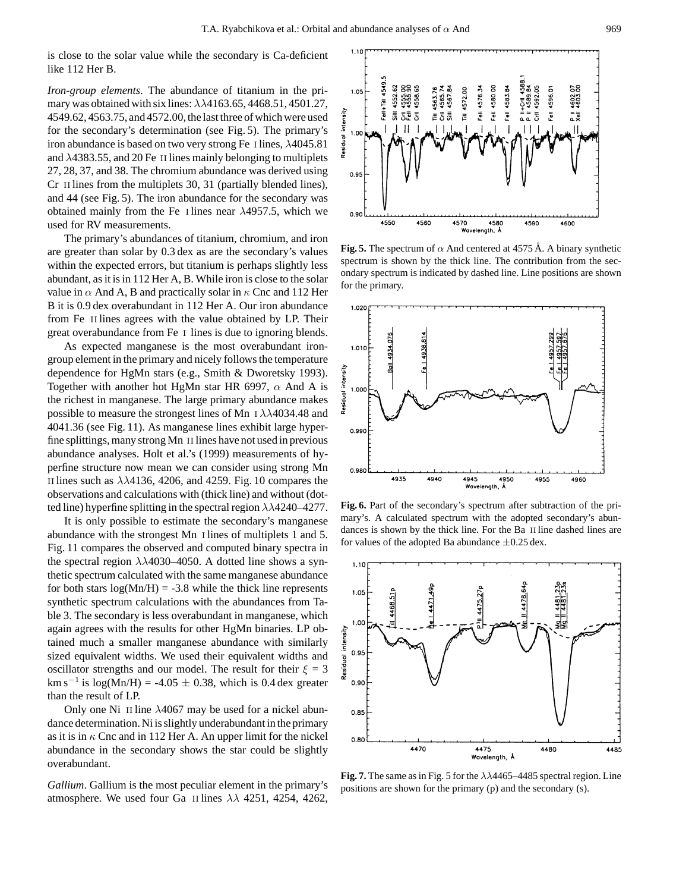is close to the solar value while the secondary is Ca-deficient like 112 Her B.

*Iron-group elements*. The abundance of titanium in the primary was obtained with six lines:  $\lambda \lambda$ 4163.65, 4468.51, 4501.27, 4549.62, 4563.75, and 4572.00, the last three of which were used for the secondary's determination (see Fig. 5). The primary's iron abundance is based on two very strong Fe I lines,  $\lambda$ 4045.81 and  $\lambda$ 4383.55, and 20 Fe II lines mainly belonging to multiplets 27, 28, 37, and 38. The chromium abundance was derived using Cr II lines from the multiplets 30, 31 (partially blended lines), and 44 (see Fig. 5). The iron abundance for the secondary was obtained mainly from the Fe I lines near  $\lambda$ 4957.5, which we used for RV measurements.

The primary's abundances of titanium, chromium, and iron are greater than solar by 0.3 dex as are the secondary's values within the expected errors, but titanium is perhaps slightly less abundant, as it is in 112 Her A, B. While iron is close to the solar value in  $\alpha$  And A, B and practically solar in  $\kappa$  Cnc and 112 Her B it is 0.9 dex overabundant in 112 Her A. Our iron abundance from Fe II lines agrees with the value obtained by LP. Their great overabundance from Fe i lines is due to ignoring blends.

As expected manganese is the most overabundant irongroup element in the primary and nicely follows the temperature dependence for HgMn stars (e.g., Smith & Dworetsky 1993). Together with another hot HgMn star HR 6997,  $\alpha$  And A is the richest in manganese. The large primary abundance makes possible to measure the strongest lines of Mn  $\text{I} \lambda \lambda 4034.48$  and 4041.36 (see Fig. 11). As manganese lines exhibit large hyperfine splittings, many strong Mn ii lines have not used in previous abundance analyses. Holt et al.'s (1999) measurements of hyperfine structure now mean we can consider using strong Mn II lines such as  $\lambda\lambda$ 4136, 4206, and 4259. Fig. 10 compares the observations and calculations with (thick line) and without (dotted line) hyperfine splitting in the spectral region  $\lambda\lambda$ 4240–4277.

It is only possible to estimate the secondary's manganese abundance with the strongest Mn i lines of multiplets 1 and 5. Fig. 11 compares the observed and computed binary spectra in the spectral region  $\lambda\lambda$ 4030–4050. A dotted line shows a synthetic spectrum calculated with the same manganese abundance for both stars  $log(Mn/H) = -3.8$  while the thick line represents synthetic spectrum calculations with the abundances from Table 3. The secondary is less overabundant in manganese, which again agrees with the results for other HgMn binaries. LP obtained much a smaller manganese abundance with similarly sized equivalent widths. We used their equivalent widths and oscillator strengths and our model. The result for their  $\xi = 3$  $\text{km s}^{-1}$  is  $\log(\text{Mn/H}) = -4.05 \pm 0.38$ , which is 0.4 dex greater than the result of LP.

Only one Ni II line  $\lambda$ 4067 may be used for a nickel abundance determination. Ni is slightly underabundant in the primary as it is in  $\kappa$  Cnc and in 112 Her A. An upper limit for the nickel abundance in the secondary shows the star could be slightly overabundant.

*Gallium*. Gallium is the most peculiar element in the primary's atmosphere. We used four Ga II lines  $\lambda\lambda$  4251, 4254, 4262,



**Fig. 5.** The spectrum of  $\alpha$  And centered at 4575 Å. A binary synthetic spectrum is shown by the thick line. The contribution from the secondary spectrum is indicated by dashed line. Line positions are shown for the primary.



**Fig. 6.** Part of the secondary's spectrum after subtraction of the primary's. A calculated spectrum with the adopted secondary's abundances is shown by the thick line. For the Ba II line dashed lines are for values of the adopted Ba abundance  $\pm 0.25$  dex.



**Fig. 7.** The same as in Fig. 5 for the  $\lambda\lambda$ 4465–4485 spectral region. Line positions are shown for the primary (p) and the secondary (s).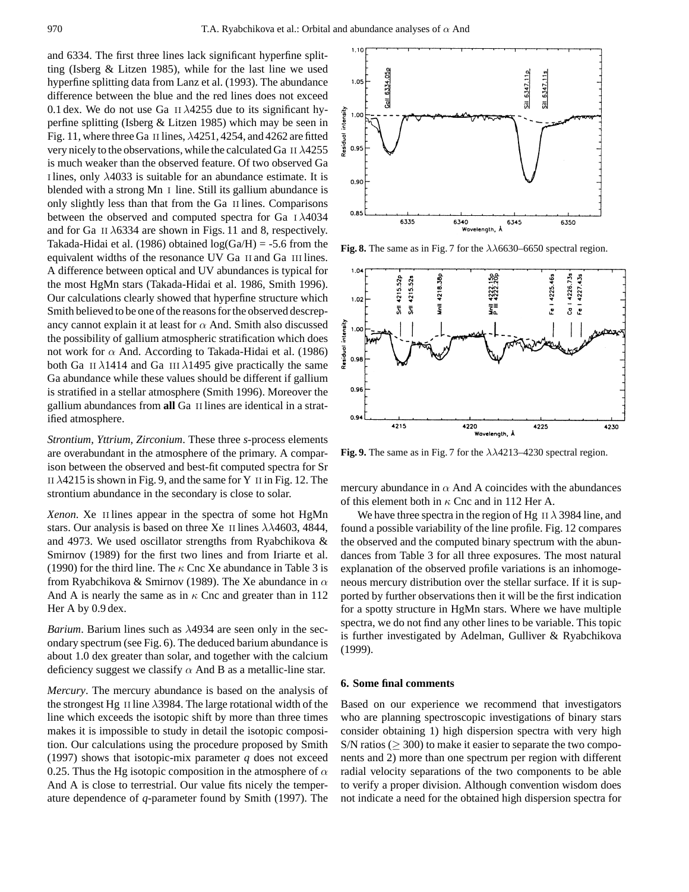and 6334. The first three lines lack significant hyperfine splitting (Isberg & Litzen 1985), while for the last line we used hyperfine splitting data from Lanz et al. (1993). The abundance difference between the blue and the red lines does not exceed 0.1 dex. We do not use Ga II  $\lambda$ 4255 due to its significant hyperfine splitting (Isberg & Litzen 1985) which may be seen in Fig. 11, where three Ga II lines,  $\lambda$ 4251, 4254, and 4262 are fitted very nicely to the observations, while the calculated Ga II  $\lambda$ 4255 is much weaker than the observed feature. Of two observed Ga I lines, only  $\lambda$ 4033 is suitable for an abundance estimate. It is blended with a strong Mn I line. Still its gallium abundance is only slightly less than that from the Ga ii lines. Comparisons between the observed and computed spectra for Ga i λ4034 and for Ga II  $\lambda$ 6334 are shown in Figs. 11 and 8, respectively. Takada-Hidai et al. (1986) obtained  $log(Ga/H) = -5.6$  from the equivalent widths of the resonance UV Ga II and Ga III lines. A difference between optical and UV abundances is typical for the most HgMn stars (Takada-Hidai et al. 1986, Smith 1996). Our calculations clearly showed that hyperfine structure which Smith believed to be one of the reasons for the observed descrepancy cannot explain it at least for  $\alpha$  And. Smith also discussed the possibility of gallium atmospheric stratification which does not work for  $\alpha$  And. According to Takada-Hidai et al. (1986) both Ga II  $\lambda$ 1414 and Ga III  $\lambda$ 1495 give practically the same Ga abundance while these values should be different if gallium is stratified in a stellar atmosphere (Smith 1996). Moreover the gallium abundances from **all** Ga ii lines are identical in a stratified atmosphere.

*Strontium, Yttrium, Zirconium*. These three *s*-process elements are overabundant in the atmosphere of the primary. A comparison between the observed and best-fit computed spectra for Sr II  $\lambda$ 4215 is shown in Fig. 9, and the same for Y II in Fig. 12. The strontium abundance in the secondary is close to solar.

*Xenon*. Xe II lines appear in the spectra of some hot HgMn stars. Our analysis is based on three Xe II lines  $\lambda\lambda$ 4603, 4844, and 4973. We used oscillator strengths from Ryabchikova & Smirnov (1989) for the first two lines and from Iriarte et al. (1990) for the third line. The  $\kappa$  Cnc Xe abundance in Table 3 is from Ryabchikova & Smirnov (1989). The Xe abundance in  $\alpha$ And A is nearly the same as in  $\kappa$  Cnc and greater than in 112 Her A by 0.9 dex.

*Barium*. Barium lines such as λ4934 are seen only in the secondary spectrum (see Fig. 6). The deduced barium abundance is about 1.0 dex greater than solar, and together with the calcium deficiency suggest we classify  $\alpha$  And B as a metallic-line star.

*Mercury*. The mercury abundance is based on the analysis of the strongest Hg II line  $\lambda$ 3984. The large rotational width of the line which exceeds the isotopic shift by more than three times makes it is impossible to study in detail the isotopic composition. Our calculations using the procedure proposed by Smith (1997) shows that isotopic-mix parameter *q* does not exceed 0.25. Thus the Hg isotopic composition in the atmosphere of  $\alpha$ And A is close to terrestrial. Our value fits nicely the temperature dependence of *q*-parameter found by Smith (1997). The



**Fig. 8.** The same as in Fig. 7 for the  $\lambda\lambda$ 6630–6650 spectral region.



**Fig. 9.** The same as in Fig. 7 for the  $\lambda\lambda$ 4213–4230 spectral region.

mercury abundance in  $\alpha$  And A coincides with the abundances of this element both in  $\kappa$  Cnc and in 112 Her A.

We have three spectra in the region of Hg II  $\lambda$  3984 line, and found a possible variability of the line profile. Fig. 12 compares the observed and the computed binary spectrum with the abundances from Table 3 for all three exposures. The most natural explanation of the observed profile variations is an inhomogeneous mercury distribution over the stellar surface. If it is supported by further observations then it will be the first indication for a spotty structure in HgMn stars. Where we have multiple spectra, we do not find any other lines to be variable. This topic is further investigated by Adelman, Gulliver & Ryabchikova (1999).

#### **6. Some final comments**

Based on our experience we recommend that investigators who are planning spectroscopic investigations of binary stars consider obtaining 1) high dispersion spectra with very high S/N ratios ( $\geq$  300) to make it easier to separate the two components and 2) more than one spectrum per region with different radial velocity separations of the two components to be able to verify a proper division. Although convention wisdom does not indicate a need for the obtained high dispersion spectra for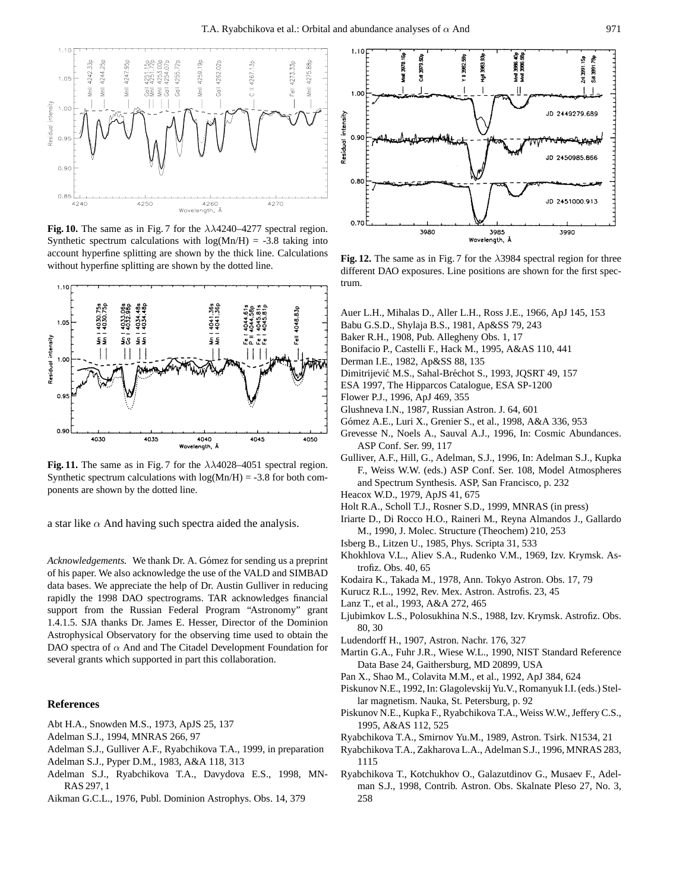

**Fig. 10.** The same as in Fig. 7 for the  $\lambda\lambda$ 4240–4277 spectral region. Synthetic spectrum calculations with  $log(Mn/H) = -3.8$  taking into account hyperfine splitting are shown by the thick line. Calculations without hyperfine splitting are shown by the dotted line.



**Fig. 11.** The same as in Fig. 7 for the  $\lambda\lambda$ 4028–4051 spectral region. Synthetic spectrum calculations with  $log(Mn/H) = -3.8$  for both components are shown by the dotted line.

a star like  $\alpha$  And having such spectra aided the analysis.

*Acknowledgements.* We thank Dr. A. Gómez for sending us a preprint of his paper. We also acknowledge the use of the VALD and SIMBAD data bases. We appreciate the help of Dr. Austin Gulliver in reducing rapidly the 1998 DAO spectrograms. TAR acknowledges financial support from the Russian Federal Program "Astronomy" grant 1.4.1.5. SJA thanks Dr. James E. Hesser, Director of the Dominion Astrophysical Observatory for the observing time used to obtain the DAO spectra of  $\alpha$  And and The Citadel Development Foundation for several grants which supported in part this collaboration.

## **References**

- Abt H.A., Snowden M.S., 1973, ApJS 25, 137
- Adelman S.J., 1994, MNRAS 266, 97
- Adelman S.J., Gulliver A.F., Ryabchikova T.A., 1999, in preparation
- Adelman S.J., Pyper D.M., 1983, A&A 118, 313
- Adelman S.J., Ryabchikova T.A., Davydova E.S., 1998, MN-RAS 297, 1
- Aikman G.C.L., 1976, Publ. Dominion Astrophys. Obs. 14, 379



**Fig. 12.** The same as in Fig. 7 for the  $\lambda$ 3984 spectral region for three different DAO exposures. Line positions are shown for the first spectrum.

- Auer L.H., Mihalas D., Aller L.H., Ross J.E., 1966, ApJ 145, 153
- Babu G.S.D., Shylaja B.S., 1981, Ap&SS 79, 243
- Baker R.H., 1908, Pub. Allegheny Obs. 1, 17
- Bonifacio P., Castelli F., Hack M., 1995, A&AS 110, 441
- Derman I.E., 1982, Ap&SS 88, 135
- Dimitrijević M.S., Sahal-Bréchot S., 1993, JQSRT 49, 157
- ESA 1997, The Hipparcos Catalogue, ESA SP-1200
- Flower P.J., 1996, ApJ 469, 355
- Glushneva I.N., 1987, Russian Astron. J. 64, 601
- Gómez A.E., Luri X., Grenier S., et al., 1998, A&A 336, 953
- Grevesse N., Noels A., Sauval A.J., 1996, In: Cosmic Abundances. ASP Conf. Ser. 99, 117
- Gulliver, A.F., Hill, G., Adelman, S.J., 1996, In: Adelman S.J., Kupka F., Weiss W.W. (eds.) ASP Conf. Ser. 108, Model Atmospheres and Spectrum Synthesis. ASP, San Francisco, p. 232
- Heacox W.D., 1979, ApJS 41, 675
- Holt R.A., Scholl T.J., Rosner S.D., 1999, MNRAS (in press)
- Iriarte D., Di Rocco H.O., Raineri M., Reyna Almandos J., Gallardo M., 1990, J. Molec. Structure (Theochem) 210, 253
- Isberg B., Litzen U., 1985, Phys. Scripta 31, 533
- Khokhlova V.L., Aliev S.A., Rudenko V.M., 1969, Izv. Krymsk. Astrofiz. Obs. 40, 65
- Kodaira K., Takada M., 1978, Ann. Tokyo Astron. Obs. 17, 79
- Kurucz R.L., 1992, Rev. Mex. Astron. Astrofis. 23, 45
- Lanz T., et al., 1993, A&A 272, 465
- Ljubimkov L.S., Polosukhina N.S., 1988, Izv. Krymsk. Astrofiz. Obs. 80, 30
- Ludendorff H., 1907, Astron. Nachr. 176, 327
- Martin G.A., Fuhr J.R., Wiese W.L., 1990, NIST Standard Reference Data Base 24, Gaithersburg, MD 20899, USA
- Pan X., Shao M., Colavita M.M., et al., 1992, ApJ 384, 624
- Piskunov N.E., 1992, In: Glagolevskij Yu.V., Romanyuk I.I. (eds.) Stellar magnetism. Nauka, St. Petersburg, p. 92
- Piskunov N.E., Kupka F., Ryabchikova T.A., Weiss W.W., Jeffery C.S., 1995, A&AS 112, 525
- Ryabchikova T.A., Smirnov Yu.M., 1989, Astron. Tsirk. N1534, 21
- Ryabchikova T.A., Zakharova L.A., Adelman S.J., 1996, MNRAS 283, 1115
- Ryabchikova T., Kotchukhov O., Galazutdinov G., Musaev F., Adelman S.J., 1998, Contrib. Astron. Obs. Skalnate Pleso 27, No. 3, 258